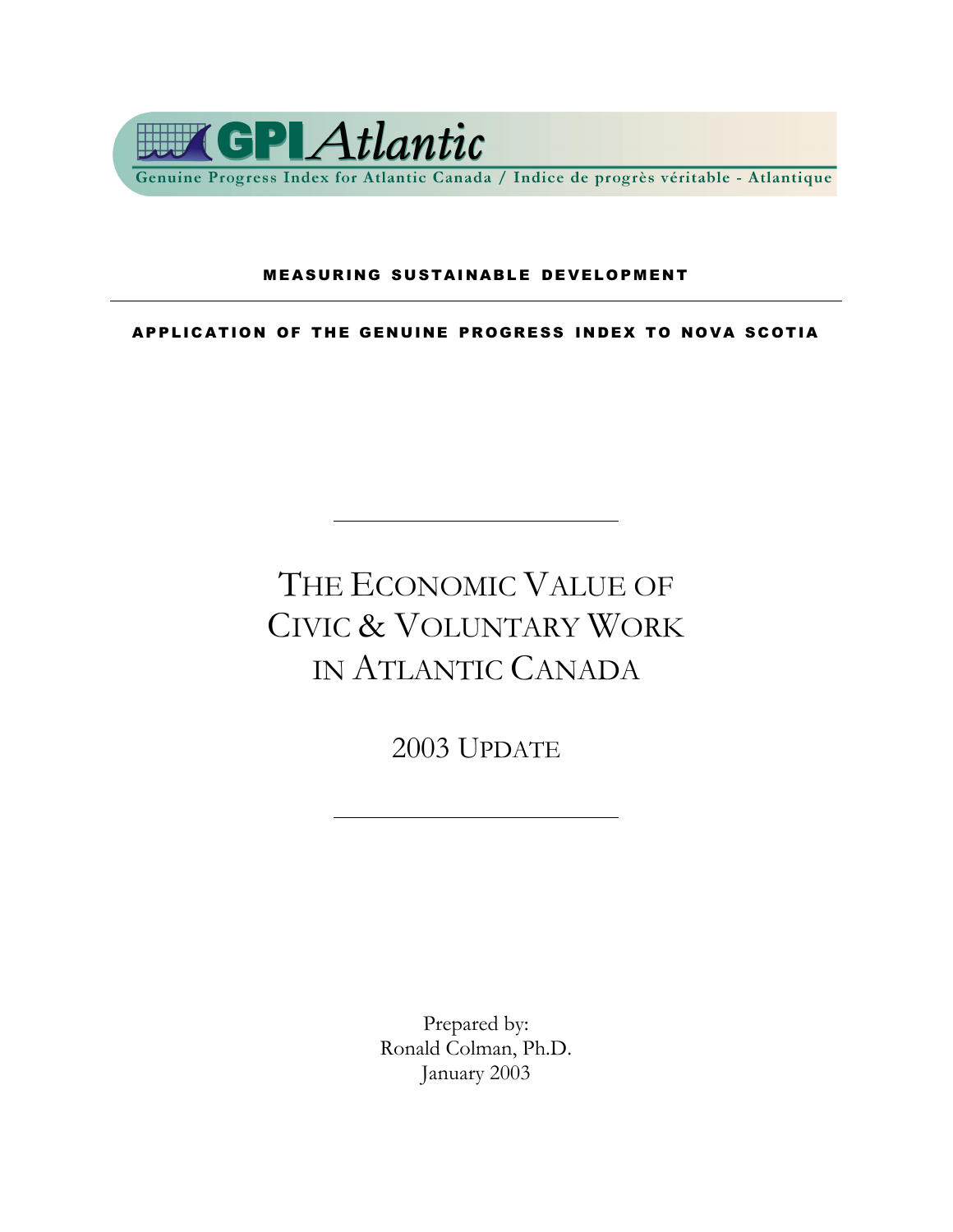

#### **MEASURING SUSTAINABLE DEVELOPMENT**

APPLICATION OF THE GENUINE PROGRESS INDEX TO NOVA SCOTIA

## THE ECONOMIC VALUE OF CIVIC & VOLUNTARY WORK IN ATLANTIC CANADA

2003 UPDATE

Prepared by: Ronald Colman, Ph.D. January 2003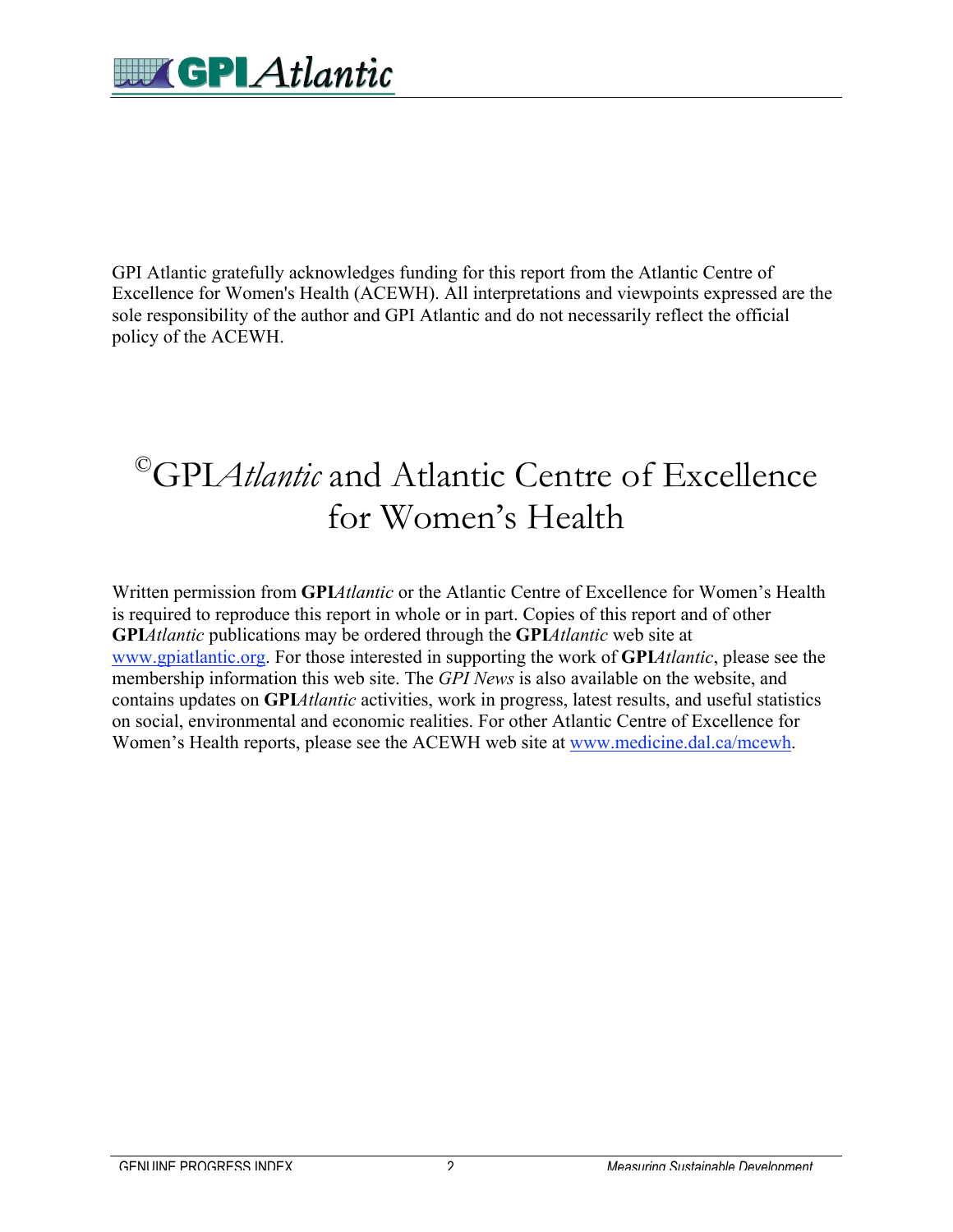GPI Atlantic gratefully acknowledges funding for this report from the Atlantic Centre of Excellence for Women's Health (ACEWH). All interpretations and viewpoints expressed are the sole responsibility of the author and GPI Atlantic and do not necessarily reflect the official policy of the ACEWH.

### ©GPI*Atlantic* and Atlantic Centre of Excellence for Women's Health

Written permission from **GPI***Atlantic* or the Atlantic Centre of Excellence for Women's Health is required to reproduce this report in whole or in part. Copies of this report and of other **GPI***Atlantic* publications may be ordered through the **GPI***Atlantic* web site at www.gpiatlantic.org. For those interested in supporting the work of **GPI***Atlantic*, please see the membership information this web site. The *GPI News* is also available on the website, and contains updates on **GPI***Atlantic* activities, work in progress, latest results, and useful statistics on social, environmental and economic realities. For other Atlantic Centre of Excellence for Women's Health reports, please see the ACEWH web site at www.medicine.dal.ca/mcewh.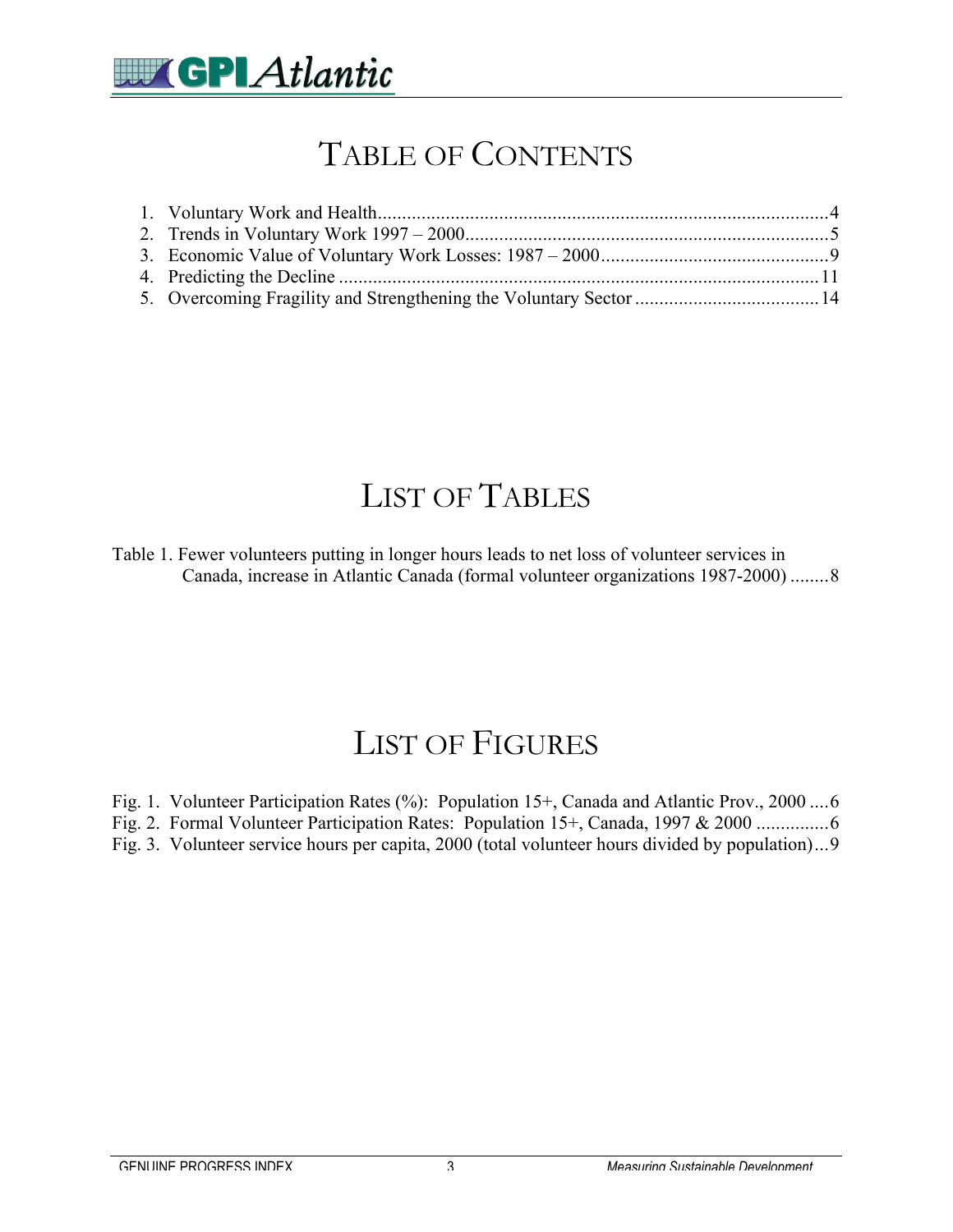

### TABLE OF CONTENTS

### LIST OF TABLES

Table 1. Fewer volunteers putting in longer hours leads to net loss of volunteer services in Canada, increase in Atlantic Canada (formal volunteer organizations 1987-2000) ........8

#### LIST OF FIGURES

Fig. 1. Volunteer Participation Rates (%): Population 15+, Canada and Atlantic Prov., 2000 ....6

Fig. 2. Formal Volunteer Participation Rates: Population 15+, Canada, 1997 & 2000 ...............6

Fig. 3. Volunteer service hours per capita, 2000 (total volunteer hours divided by population)...9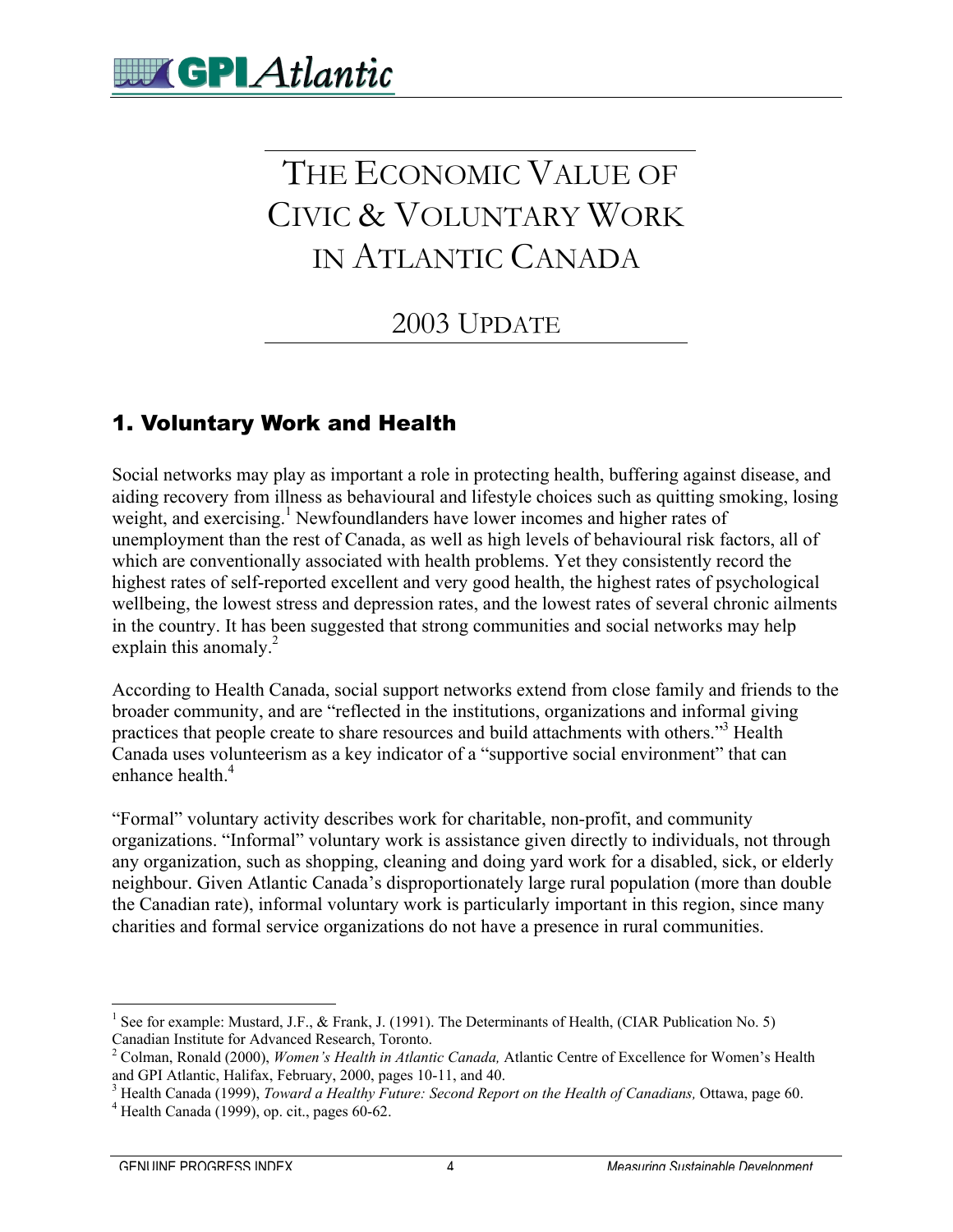## THE ECONOMIC VALUE OF CIVIC & VOLUNTARY WORK IN ATLANTIC CANADA

#### 2003 UPDATE

#### 1. Voluntary Work and Health

Social networks may play as important a role in protecting health, buffering against disease, and aiding recovery from illness as behavioural and lifestyle choices such as quitting smoking, losing weight, and exercising.<sup>1</sup> Newfoundlanders have lower incomes and higher rates of unemployment than the rest of Canada, as well as high levels of behavioural risk factors, all of which are conventionally associated with health problems. Yet they consistently record the highest rates of self-reported excellent and very good health, the highest rates of psychological wellbeing, the lowest stress and depression rates, and the lowest rates of several chronic ailments in the country. It has been suggested that strong communities and social networks may help explain this anomaly. $^{2}$ 

According to Health Canada, social support networks extend from close family and friends to the broader community, and are "reflected in the institutions, organizations and informal giving practices that people create to share resources and build attachments with others."<sup>3</sup> Health Canada uses volunteerism as a key indicator of a "supportive social environment" that can enhance health<sup>4</sup>

"Formal" voluntary activity describes work for charitable, non-profit, and community organizations. "Informal" voluntary work is assistance given directly to individuals, not through any organization, such as shopping, cleaning and doing yard work for a disabled, sick, or elderly neighbour. Given Atlantic Canada's disproportionately large rural population (more than double the Canadian rate), informal voluntary work is particularly important in this region, since many charities and formal service organizations do not have a presence in rural communities.

 $\frac{1}{1}$ <sup>1</sup> See for example: Mustard, J.F., & Frank, J. (1991). The Determinants of Health, (CIAR Publication No. 5) Canadian Institute for Advanced Research, Toronto.

<sup>2</sup> Colman, Ronald (2000), *Women's Health in Atlantic Canada,* Atlantic Centre of Excellence for Women's Health and GPI Atlantic, Halifax, February, 2000, pages 10-11, and 40.

<sup>&</sup>lt;sup>3</sup> Health Canada (1999), *Toward a Healthy Future: Second Report on the Health of Canadians*, Ottawa, page 60.  $\frac{4}{3}$  Health Canadians, Ottawa, page 60.

 $4$  Health Canada (1999), op. cit., pages 60-62.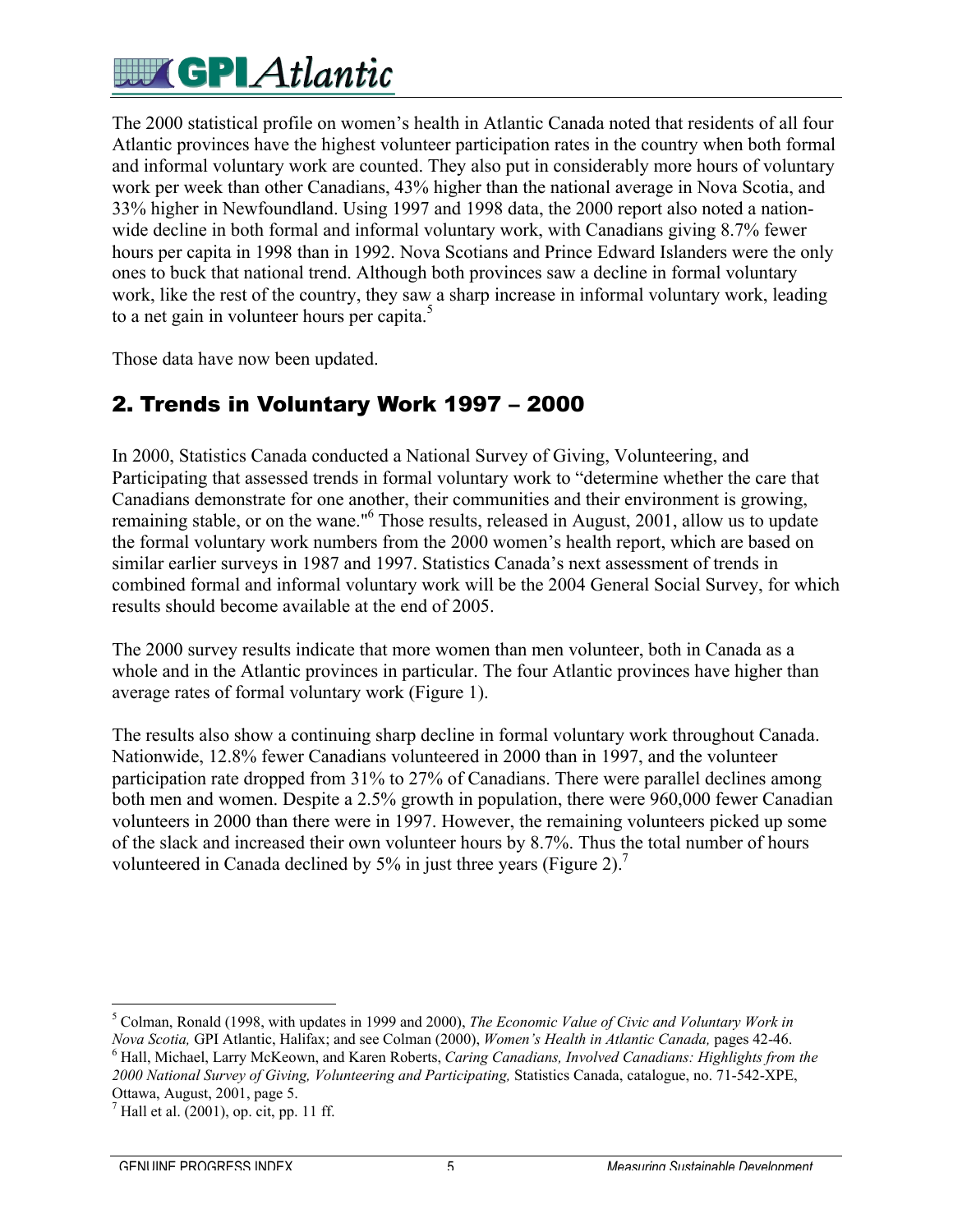# **EV GPL** Atlantic

The 2000 statistical profile on women's health in Atlantic Canada noted that residents of all four Atlantic provinces have the highest volunteer participation rates in the country when both formal and informal voluntary work are counted. They also put in considerably more hours of voluntary work per week than other Canadians, 43% higher than the national average in Nova Scotia, and 33% higher in Newfoundland. Using 1997 and 1998 data, the 2000 report also noted a nationwide decline in both formal and informal voluntary work, with Canadians giving 8.7% fewer hours per capita in 1998 than in 1992. Nova Scotians and Prince Edward Islanders were the only ones to buck that national trend. Although both provinces saw a decline in formal voluntary work, like the rest of the country, they saw a sharp increase in informal voluntary work, leading to a net gain in volunteer hours per capita. $5$ 

Those data have now been updated.

#### 2. Trends in Voluntary Work 1997 – 2000

In 2000, Statistics Canada conducted a National Survey of Giving, Volunteering, and Participating that assessed trends in formal voluntary work to "determine whether the care that Canadians demonstrate for one another, their communities and their environment is growing, remaining stable, or on the wane."<sup>6</sup> Those results, released in August, 2001, allow us to update the formal voluntary work numbers from the 2000 women's health report, which are based on similar earlier surveys in 1987 and 1997. Statistics Canada's next assessment of trends in combined formal and informal voluntary work will be the 2004 General Social Survey, for which results should become available at the end of 2005.

The 2000 survey results indicate that more women than men volunteer, both in Canada as a whole and in the Atlantic provinces in particular. The four Atlantic provinces have higher than average rates of formal voluntary work (Figure 1).

The results also show a continuing sharp decline in formal voluntary work throughout Canada. Nationwide, 12.8% fewer Canadians volunteered in 2000 than in 1997, and the volunteer participation rate dropped from 31% to 27% of Canadians. There were parallel declines among both men and women. Despite a 2.5% growth in population, there were 960,000 fewer Canadian volunteers in 2000 than there were in 1997. However, the remaining volunteers picked up some of the slack and increased their own volunteer hours by 8.7%. Thus the total number of hours volunteered in Canada declined by  $5\%$  in just three years (Figure 2).<sup>7</sup>

 5 Colman, Ronald (1998, with updates in 1999 and 2000), *The Economic Value of Civic and Voluntary Work in Nova Scotia,* GPI Atlantic, Halifax; and see Colman (2000), *Women's Health in Atlantic Canada,* pages 42-46. <sup>6</sup>

 Hall, Michael, Larry McKeown, and Karen Roberts, *Caring Canadians, Involved Canadians: Highlights from the 2000 National Survey of Giving, Volunteering and Participating,* Statistics Canada, catalogue, no. 71-542-XPE, Ottawa, August, 2001, page 5.

 $<sup>7</sup>$  Hall et al. (2001), op. cit, pp. 11 ff.</sup>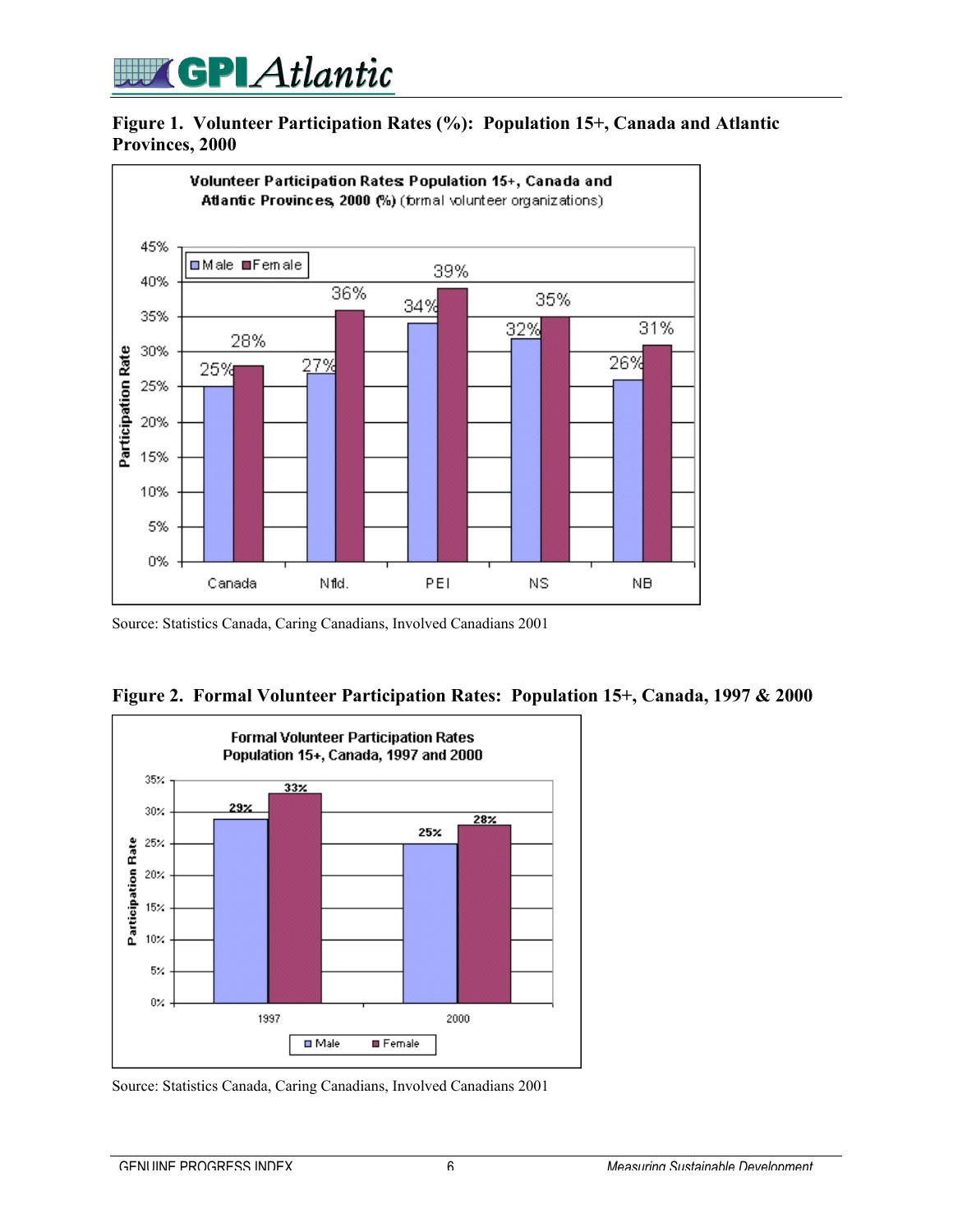## **WEIGPLAtlantic**

#### **Figure 1. Volunteer Participation Rates (%): Population 15+, Canada and Atlantic Provinces, 2000**



Source: Statistics Canada, Caring Canadians, Involved Canadians 2001





Source: Statistics Canada, Caring Canadians, Involved Canadians 2001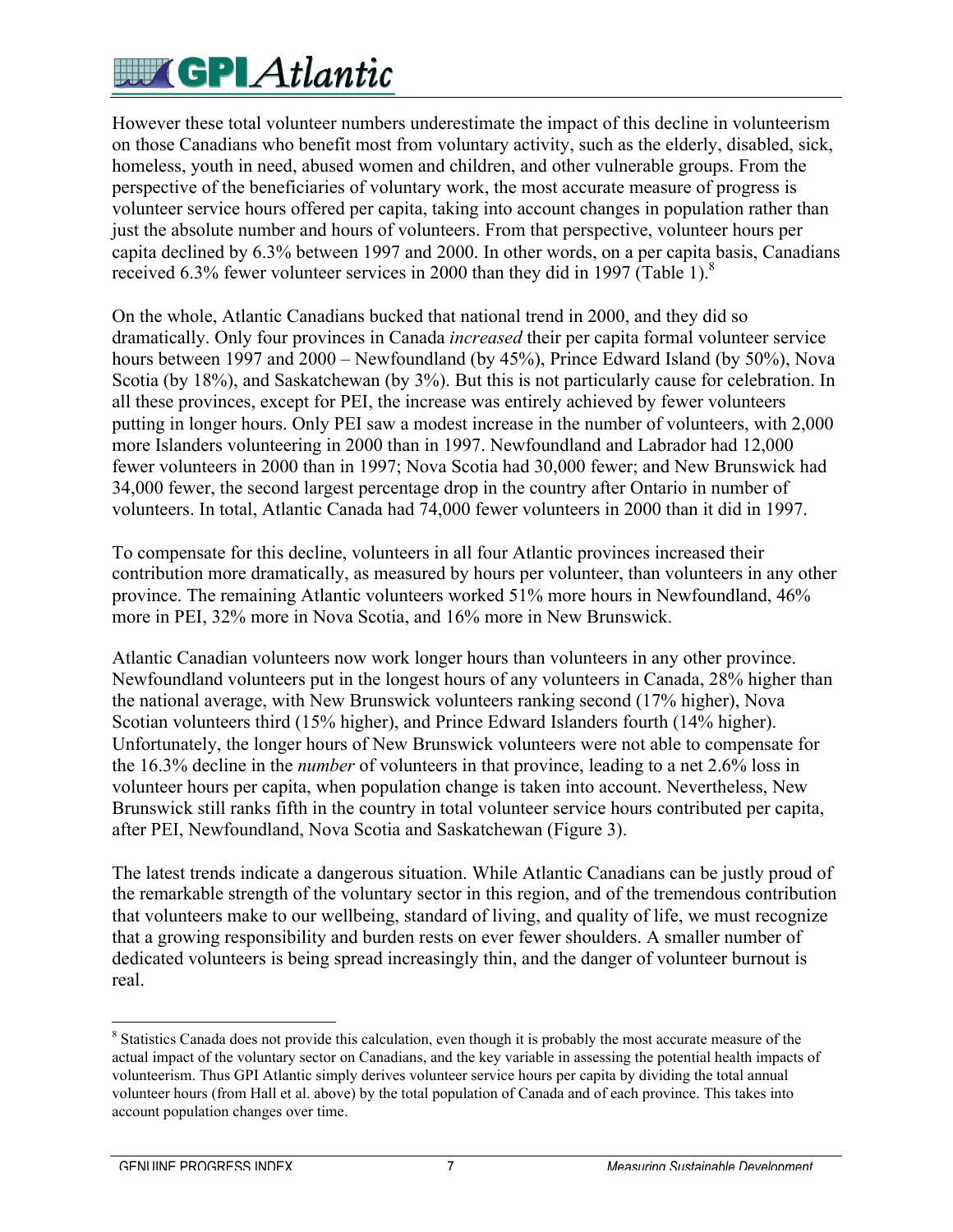# **WEGPLAtlantic**

However these total volunteer numbers underestimate the impact of this decline in volunteerism on those Canadians who benefit most from voluntary activity, such as the elderly, disabled, sick, homeless, youth in need, abused women and children, and other vulnerable groups. From the perspective of the beneficiaries of voluntary work, the most accurate measure of progress is volunteer service hours offered per capita, taking into account changes in population rather than just the absolute number and hours of volunteers. From that perspective, volunteer hours per capita declined by 6.3% between 1997 and 2000. In other words, on a per capita basis, Canadians received 6.3% fewer volunteer services in 2000 than they did in 1997 (Table 1). $8$ 

On the whole, Atlantic Canadians bucked that national trend in 2000, and they did so dramatically. Only four provinces in Canada *increased* their per capita formal volunteer service hours between 1997 and 2000 – Newfoundland (by 45%), Prince Edward Island (by 50%), Nova Scotia (by 18%), and Saskatchewan (by 3%). But this is not particularly cause for celebration. In all these provinces, except for PEI, the increase was entirely achieved by fewer volunteers putting in longer hours. Only PEI saw a modest increase in the number of volunteers, with 2,000 more Islanders volunteering in 2000 than in 1997. Newfoundland and Labrador had 12,000 fewer volunteers in 2000 than in 1997; Nova Scotia had 30,000 fewer; and New Brunswick had 34,000 fewer, the second largest percentage drop in the country after Ontario in number of volunteers. In total, Atlantic Canada had 74,000 fewer volunteers in 2000 than it did in 1997.

To compensate for this decline, volunteers in all four Atlantic provinces increased their contribution more dramatically, as measured by hours per volunteer, than volunteers in any other province. The remaining Atlantic volunteers worked 51% more hours in Newfoundland, 46% more in PEI, 32% more in Nova Scotia, and 16% more in New Brunswick.

Atlantic Canadian volunteers now work longer hours than volunteers in any other province. Newfoundland volunteers put in the longest hours of any volunteers in Canada, 28% higher than the national average, with New Brunswick volunteers ranking second (17% higher), Nova Scotian volunteers third (15% higher), and Prince Edward Islanders fourth (14% higher). Unfortunately, the longer hours of New Brunswick volunteers were not able to compensate for the 16.3% decline in the *number* of volunteers in that province, leading to a net 2.6% loss in volunteer hours per capita, when population change is taken into account. Nevertheless, New Brunswick still ranks fifth in the country in total volunteer service hours contributed per capita, after PEI, Newfoundland, Nova Scotia and Saskatchewan (Figure 3).

The latest trends indicate a dangerous situation. While Atlantic Canadians can be justly proud of the remarkable strength of the voluntary sector in this region, and of the tremendous contribution that volunteers make to our wellbeing, standard of living, and quality of life, we must recognize that a growing responsibility and burden rests on ever fewer shoulders. A smaller number of dedicated volunteers is being spread increasingly thin, and the danger of volunteer burnout is real.

 $\frac{1}{8}$ <sup>8</sup> Statistics Canada does not provide this calculation, even though it is probably the most accurate measure of the actual impact of the voluntary sector on Canadians, and the key variable in assessing the potential health impacts of volunteerism. Thus GPI Atlantic simply derives volunteer service hours per capita by dividing the total annual volunteer hours (from Hall et al. above) by the total population of Canada and of each province. This takes into account population changes over time.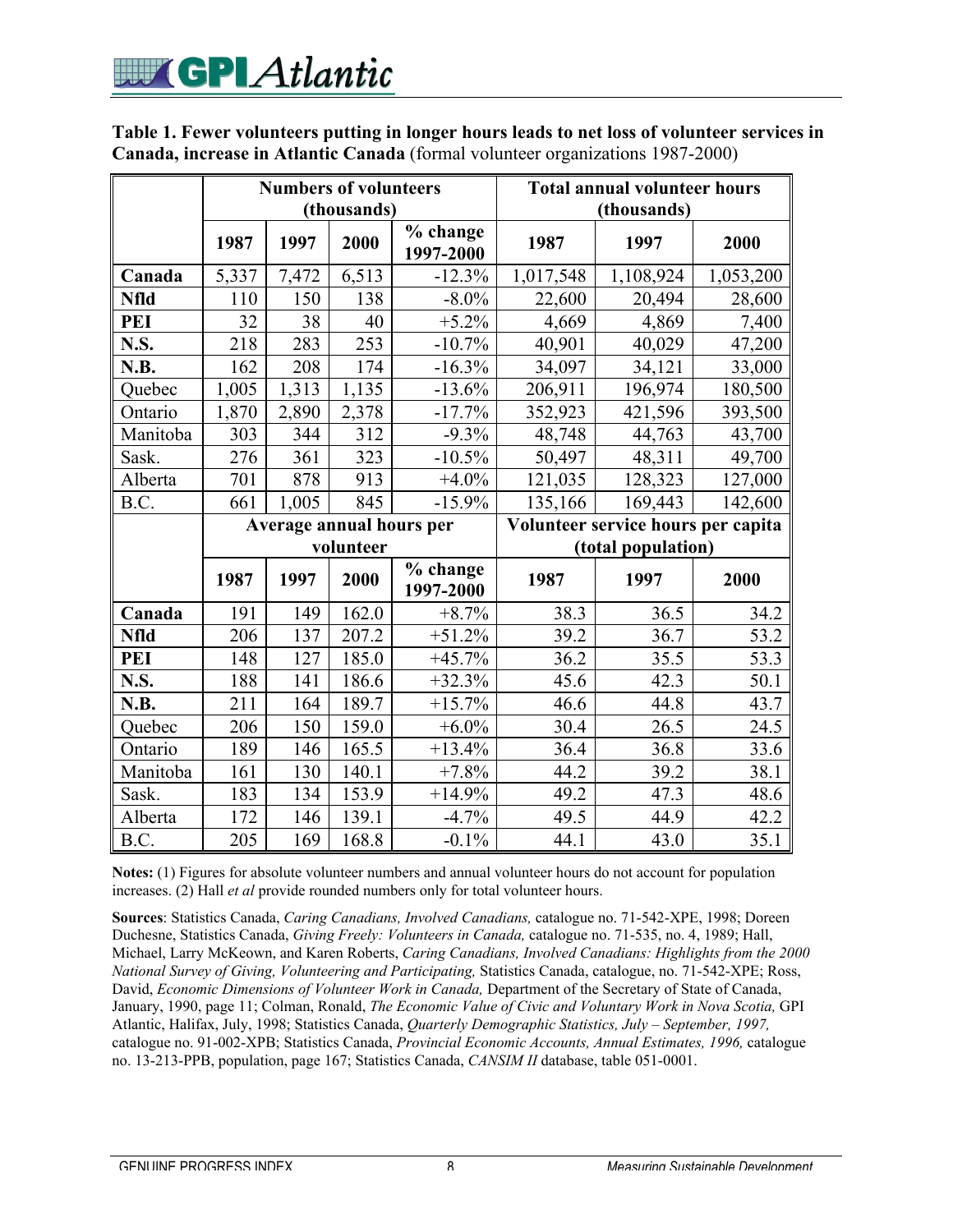| Table 1. Fewer volunteers putting in longer hours leads to net loss of volunteer services in |  |
|----------------------------------------------------------------------------------------------|--|
| Canada, increase in Atlantic Canada (formal volunteer organizations 1987-2000)               |  |

|             |           | <b>Numbers of volunteers</b> | (thousands) |                          | <b>Total annual volunteer hours</b><br>(thousands) |           |           |  |
|-------------|-----------|------------------------------|-------------|--------------------------|----------------------------------------------------|-----------|-----------|--|
|             | 1987      | 1997                         | 2000        | % change<br>1997-2000    | 1987                                               | 1997      | 2000      |  |
| Canada      | 5,337     | 7,472                        | 6,513       | $-12.3%$                 | 1,017,548                                          | 1,108,924 | 1,053,200 |  |
| <b>Nfld</b> | 110       | 150                          | 138         | $-8.0\%$                 | 22,600                                             | 20,494    | 28,600    |  |
| <b>PEI</b>  | 32        | 38                           | 40          | $+5.2\%$                 | 4,669                                              | 4,869     | 7,400     |  |
| N.S.        | 218       | 283                          | 253         | $-10.7%$                 | 40,901                                             | 40,029    | 47,200    |  |
| N.B.        | 162       | 208                          | 174         | $-16.3%$                 | 34,097                                             | 34,121    | 33,000    |  |
| Quebec      | 1,005     | 1,313                        | 1,135       | $-13.6%$                 | 206,911                                            | 196,974   | 180,500   |  |
| Ontario     | 1,870     | 2,890                        | 2,378       | $-17.7%$                 | 352,923                                            | 421,596   | 393,500   |  |
| Manitoba    | 303       | 344                          | 312         | $-9.3%$                  | 48,748                                             | 44,763    | 43,700    |  |
| Sask.       | 276       | 361                          | 323         | $-10.5%$                 | 50,497                                             | 48,311    | 49,700    |  |
| Alberta     | 701       | 878                          | 913         | $+4.0%$                  | 121,035                                            | 128,323   | 127,000   |  |
| B.C.        | 661       | 1,005                        | 845         | $-15.9%$                 | 135,166                                            | 169,443   | 142,600   |  |
|             |           |                              |             | Average annual hours per | Volunteer service hours per capita                 |           |           |  |
|             | volunteer |                              |             | (total population)       |                                                    |           |           |  |
|             | 1987      | 1997                         | 2000        | % change<br>1997-2000    | 1987                                               | 1997      | 2000      |  |
| Canada      | 191       | 149                          | 162.0       | $+8.7%$                  | 38.3                                               | 36.5      | 34.2      |  |
| <b>Nfld</b> | 206       | 137                          | 207.2       | $+51.2%$                 | 39.2                                               | 36.7      | 53.2      |  |
| <b>PEI</b>  | 148       | 127                          | 185.0       | $+45.7%$                 | 36.2                                               | 35.5      | 53.3      |  |
| N.S.        | 188       | 141                          | 186.6       | $+32.3%$                 | 45.6                                               | 42.3      | 50.1      |  |
| N.B.        | 211       | 164                          | 189.7       | $+15.7%$                 | 46.6                                               | 44.8      | 43.7      |  |
| Quebec      | 206       | 150                          | 159.0       | $+6.0\%$                 | 30.4                                               | 26.5      | 24.5      |  |
| Ontario     | 189       | 146                          | 165.5       | $+13.4%$                 | 36.4                                               | 36.8      | 33.6      |  |
| Manitoba    | 161       | 130                          | 140.1       | $+7.8%$                  | 44.2                                               | 39.2      | 38.1      |  |
| Sask.       | 183       | 134                          | 153.9       | $+14.9%$                 | 49.2                                               | 47.3      | 48.6      |  |
|             |           |                              |             |                          |                                                    |           |           |  |
| Alberta     | 172       | 146                          | 139.1       | $-4.7%$                  | 49.5                                               | 44.9      | 42.2      |  |

**Notes:** (1) Figures for absolute volunteer numbers and annual volunteer hours do not account for population increases. (2) Hall *et al* provide rounded numbers only for total volunteer hours.

**Sources**: Statistics Canada, *Caring Canadians, Involved Canadians,* catalogue no. 71-542-XPE, 1998; Doreen Duchesne, Statistics Canada, *Giving Freely: Volunteers in Canada,* catalogue no. 71-535, no. 4, 1989; Hall, Michael, Larry McKeown, and Karen Roberts, *Caring Canadians, Involved Canadians: Highlights from the 2000 National Survey of Giving, Volunteering and Participating,* Statistics Canada, catalogue, no. 71-542-XPE; Ross, David, *Economic Dimensions of Volunteer Work in Canada,* Department of the Secretary of State of Canada, January, 1990, page 11; Colman, Ronald, *The Economic Value of Civic and Voluntary Work in Nova Scotia*, GPI Atlantic, Halifax, July, 1998; Statistics Canada, *Quarterly Demographic Statistics, July – September, 1997,* catalogue no. 91-002-XPB; Statistics Canada, *Provincial Economic Accounts, Annual Estimates, 1996,* catalogue no. 13-213-PPB, population, page 167; Statistics Canada, *CANSIM II* database, table 051-0001.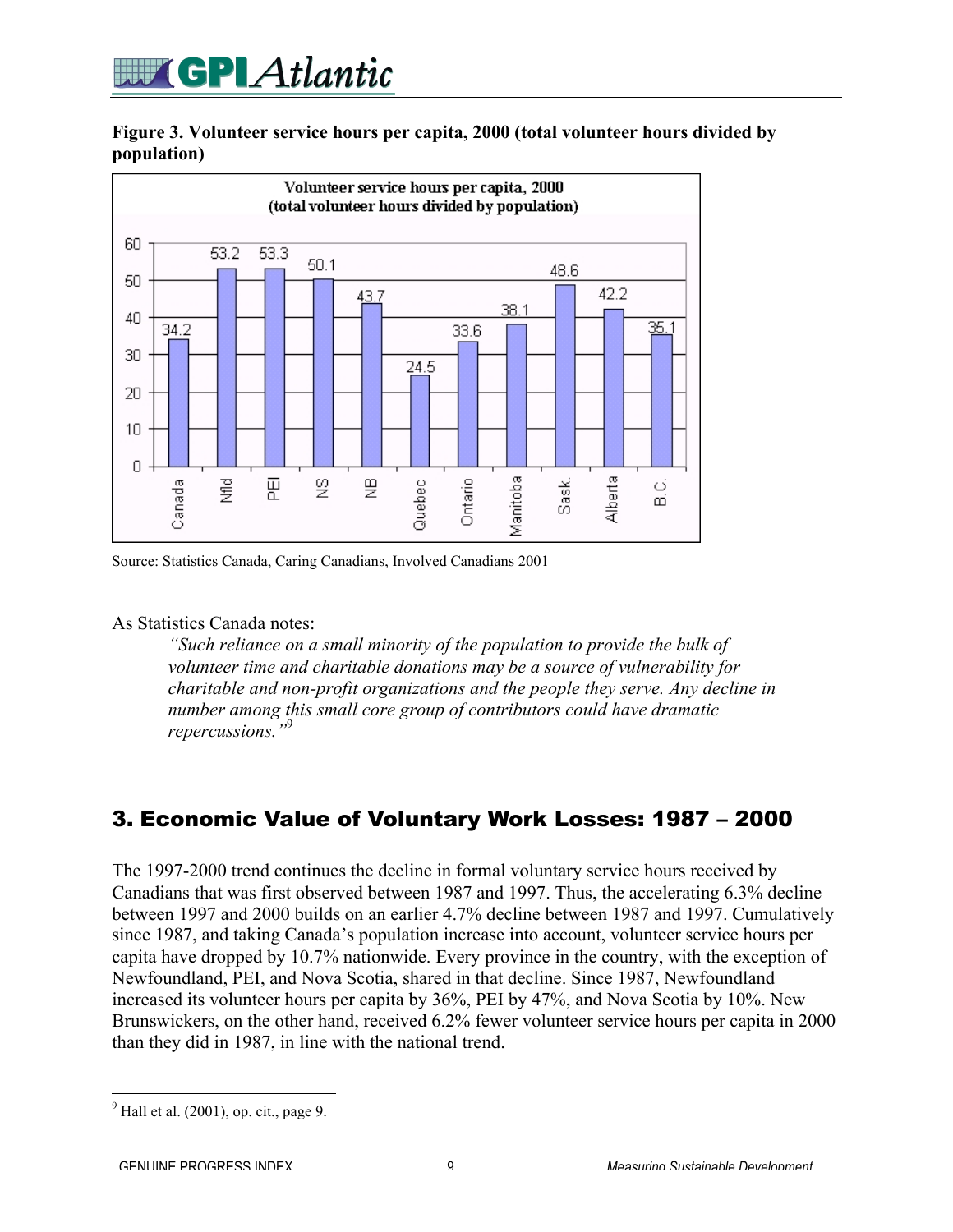## **GPLAtlantic**

#### **Figure 3. Volunteer service hours per capita, 2000 (total volunteer hours divided by population)**



Source: Statistics Canada, Caring Canadians, Involved Canadians 2001

#### As Statistics Canada notes:

*"Such reliance on a small minority of the population to provide the bulk of volunteer time and charitable donations may be a source of vulnerability for charitable and non-profit organizations and the people they serve. Any decline in number among this small core group of contributors could have dramatic repercussions."*<sup>9</sup>

#### 3. Economic Value of Voluntary Work Losses: 1987 – 2000

The 1997-2000 trend continues the decline in formal voluntary service hours received by Canadians that was first observed between 1987 and 1997. Thus, the accelerating 6.3% decline between 1997 and 2000 builds on an earlier 4.7% decline between 1987 and 1997. Cumulatively since 1987, and taking Canada's population increase into account, volunteer service hours per capita have dropped by 10.7% nationwide. Every province in the country, with the exception of Newfoundland, PEI, and Nova Scotia, shared in that decline. Since 1987, Newfoundland increased its volunteer hours per capita by 36%, PEI by 47%, and Nova Scotia by 10%. New Brunswickers, on the other hand, received 6.2% fewer volunteer service hours per capita in 2000 than they did in 1987, in line with the national trend.

<sup>-&</sup>lt;br>9  $<sup>9</sup>$  Hall et al. (2001), op. cit., page 9.</sup>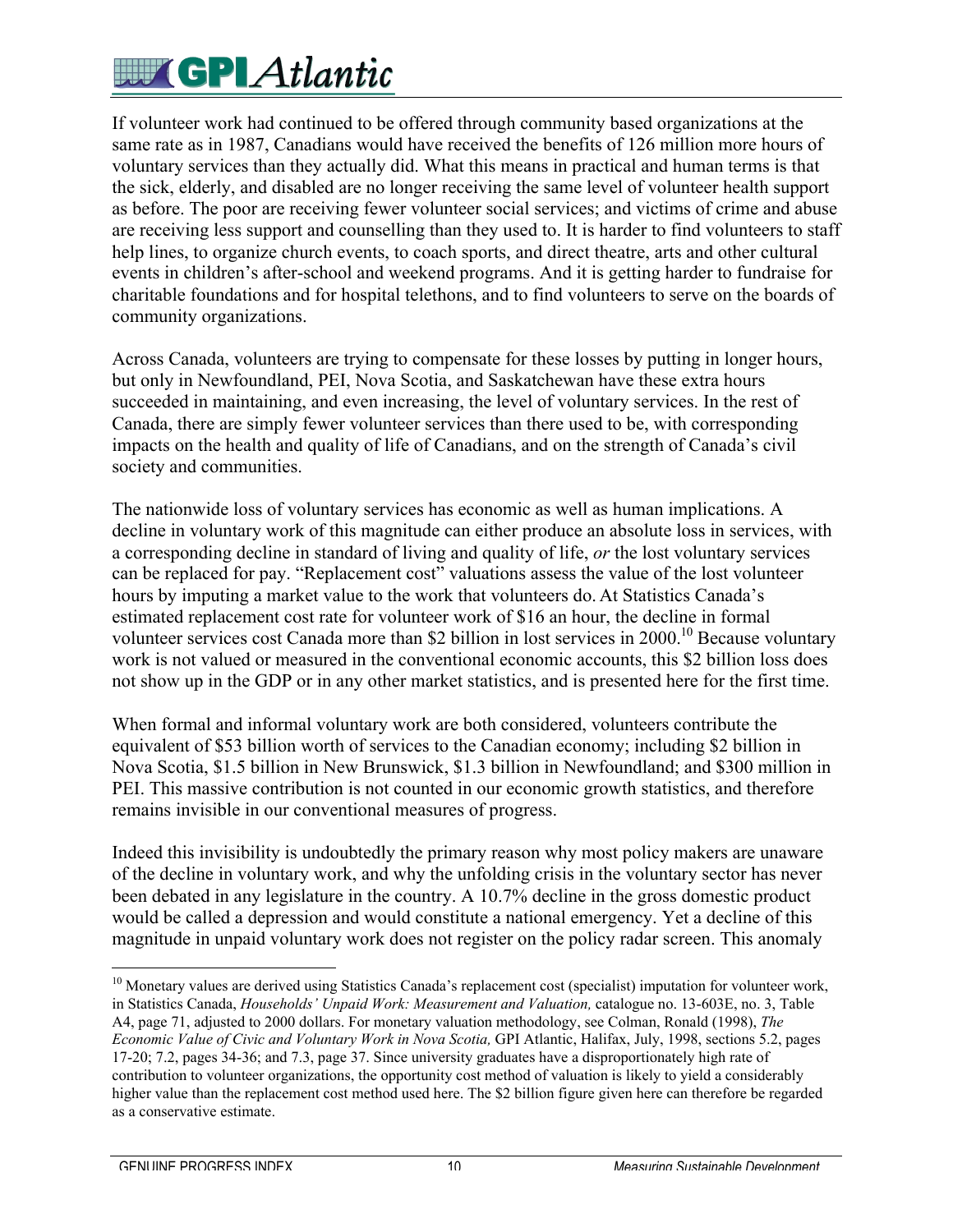# **EUT GPLAtlantic**

If volunteer work had continued to be offered through community based organizations at the same rate as in 1987, Canadians would have received the benefits of 126 million more hours of voluntary services than they actually did. What this means in practical and human terms is that the sick, elderly, and disabled are no longer receiving the same level of volunteer health support as before. The poor are receiving fewer volunteer social services; and victims of crime and abuse are receiving less support and counselling than they used to. It is harder to find volunteers to staff help lines, to organize church events, to coach sports, and direct theatre, arts and other cultural events in children's after-school and weekend programs. And it is getting harder to fundraise for charitable foundations and for hospital telethons, and to find volunteers to serve on the boards of community organizations.

Across Canada, volunteers are trying to compensate for these losses by putting in longer hours, but only in Newfoundland, PEI, Nova Scotia, and Saskatchewan have these extra hours succeeded in maintaining, and even increasing, the level of voluntary services. In the rest of Canada, there are simply fewer volunteer services than there used to be, with corresponding impacts on the health and quality of life of Canadians, and on the strength of Canada's civil society and communities.

The nationwide loss of voluntary services has economic as well as human implications. A decline in voluntary work of this magnitude can either produce an absolute loss in services, with a corresponding decline in standard of living and quality of life, *or* the lost voluntary services can be replaced for pay. "Replacement cost" valuations assess the value of the lost volunteer hours by imputing a market value to the work that volunteers do. At Statistics Canada's estimated replacement cost rate for volunteer work of \$16 an hour, the decline in formal volunteer services cost Canada more than \$2 billion in lost services in 2000.<sup>10</sup> Because voluntary work is not valued or measured in the conventional economic accounts, this \$2 billion loss does not show up in the GDP or in any other market statistics, and is presented here for the first time.

When formal and informal voluntary work are both considered, volunteers contribute the equivalent of \$53 billion worth of services to the Canadian economy; including \$2 billion in Nova Scotia, \$1.5 billion in New Brunswick, \$1.3 billion in Newfoundland; and \$300 million in PEI. This massive contribution is not counted in our economic growth statistics, and therefore remains invisible in our conventional measures of progress.

Indeed this invisibility is undoubtedly the primary reason why most policy makers are unaware of the decline in voluntary work, and why the unfolding crisis in the voluntary sector has never been debated in any legislature in the country. A 10.7% decline in the gross domestic product would be called a depression and would constitute a national emergency. Yet a decline of this magnitude in unpaid voluntary work does not register on the policy radar screen. This anomaly

<sup>&</sup>lt;sup>10</sup> Monetary values are derived using Statistics Canada's replacement cost (specialist) imputation for volunteer work, in Statistics Canada, *Households' Unpaid Work: Measurement and Valuation,* catalogue no. 13-603E, no. 3, Table A4, page 71, adjusted to 2000 dollars. For monetary valuation methodology, see Colman, Ronald (1998), *The Economic Value of Civic and Voluntary Work in Nova Scotia,* GPI Atlantic, Halifax, July, 1998, sections 5.2, pages 17-20; 7.2, pages 34-36; and 7.3, page 37. Since university graduates have a disproportionately high rate of contribution to volunteer organizations, the opportunity cost method of valuation is likely to yield a considerably higher value than the replacement cost method used here. The \$2 billion figure given here can therefore be regarded as a conservative estimate.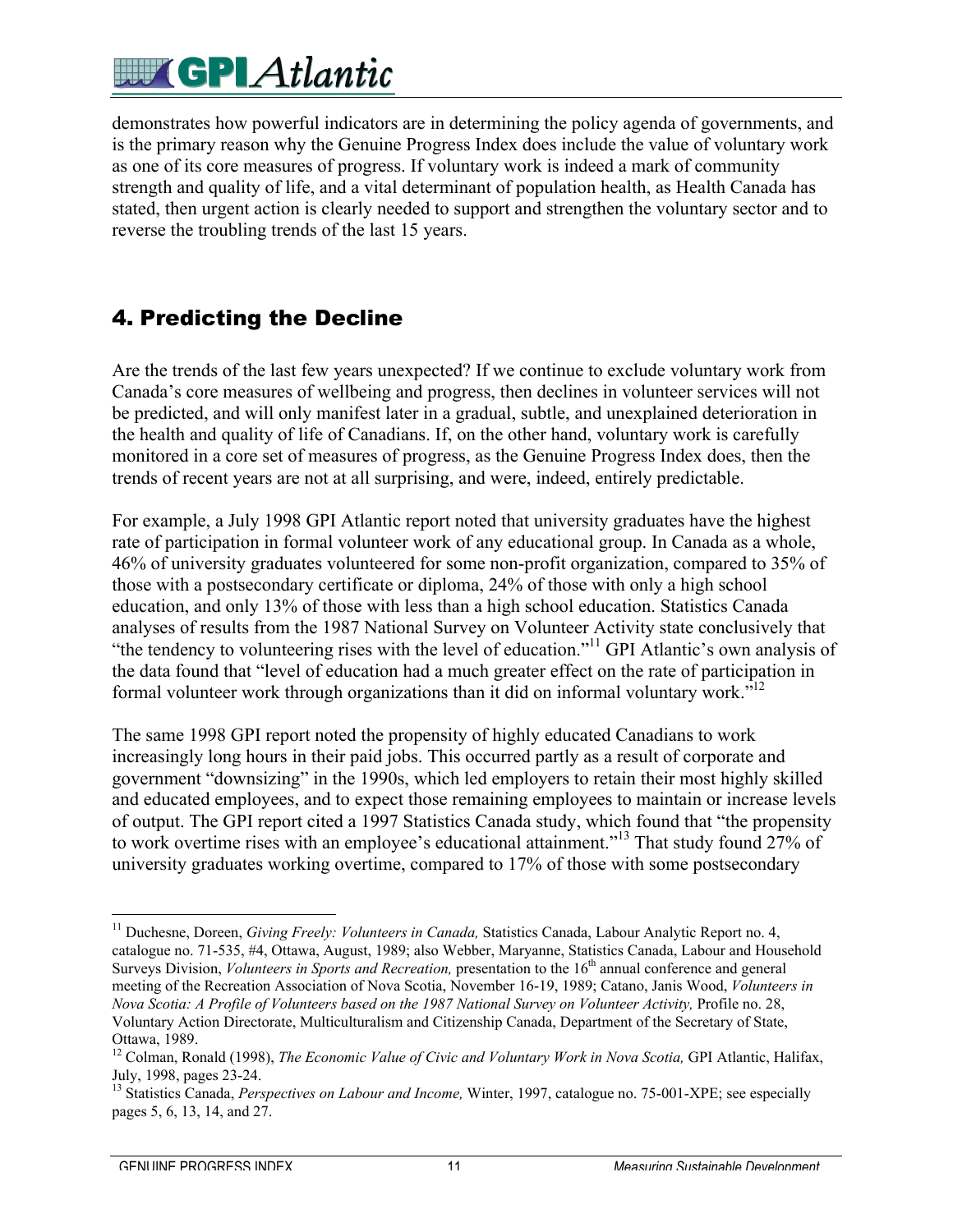# **EX GPLAtlantic**

demonstrates how powerful indicators are in determining the policy agenda of governments, and is the primary reason why the Genuine Progress Index does include the value of voluntary work as one of its core measures of progress. If voluntary work is indeed a mark of community strength and quality of life, and a vital determinant of population health, as Health Canada has stated, then urgent action is clearly needed to support and strengthen the voluntary sector and to reverse the troubling trends of the last 15 years.

#### 4. Predicting the Decline

Are the trends of the last few years unexpected? If we continue to exclude voluntary work from Canada's core measures of wellbeing and progress, then declines in volunteer services will not be predicted, and will only manifest later in a gradual, subtle, and unexplained deterioration in the health and quality of life of Canadians. If, on the other hand, voluntary work is carefully monitored in a core set of measures of progress, as the Genuine Progress Index does, then the trends of recent years are not at all surprising, and were, indeed, entirely predictable.

For example, a July 1998 GPI Atlantic report noted that university graduates have the highest rate of participation in formal volunteer work of any educational group. In Canada as a whole, 46% of university graduates volunteered for some non-profit organization, compared to 35% of those with a postsecondary certificate or diploma, 24% of those with only a high school education, and only 13% of those with less than a high school education. Statistics Canada analyses of results from the 1987 National Survey on Volunteer Activity state conclusively that "the tendency to volunteering rises with the level of education."<sup>11</sup> GPI Atlantic's own analysis of the data found that "level of education had a much greater effect on the rate of participation in formal volunteer work through organizations than it did on informal voluntary work."<sup>12</sup>

The same 1998 GPI report noted the propensity of highly educated Canadians to work increasingly long hours in their paid jobs. This occurred partly as a result of corporate and government "downsizing" in the 1990s, which led employers to retain their most highly skilled and educated employees, and to expect those remaining employees to maintain or increase levels of output. The GPI report cited a 1997 Statistics Canada study, which found that "the propensity to work overtime rises with an employee's educational attainment."<sup>13</sup> That study found 27% of university graduates working overtime, compared to 17% of those with some postsecondary

 <sup>11</sup> Duchesne, Doreen, *Giving Freely: Volunteers in Canada,* Statistics Canada, Labour Analytic Report no. 4, catalogue no. 71-535, #4, Ottawa, August, 1989; also Webber, Maryanne, Statistics Canada, Labour and Household Surveys Division, *Volunteers in Sports and Recreation*, presentation to the 16<sup>th</sup> annual conference and general meeting of the Recreation Association of Nova Scotia, November 16-19, 1989; Catano, Janis Wood, *Volunteers in Nova Scotia: A Profile of Volunteers based on the 1987 National Survey on Volunteer Activity, Profile no. 28,* Voluntary Action Directorate, Multiculturalism and Citizenship Canada, Department of the Secretary of State, Ottawa, 1989.

<sup>&</sup>lt;sup>12</sup> Colman, Ronald (1998), *The Economic Value of Civic and Voluntary Work in Nova Scotia*, GPI Atlantic, Halifax, July, 1998, pages 23-24.

<sup>&</sup>lt;sup>13</sup> Statistics Canada, *Perspectives on Labour and Income*, Winter, 1997, catalogue no. 75-001-XPE; see especially pages 5, 6, 13, 14, and 27.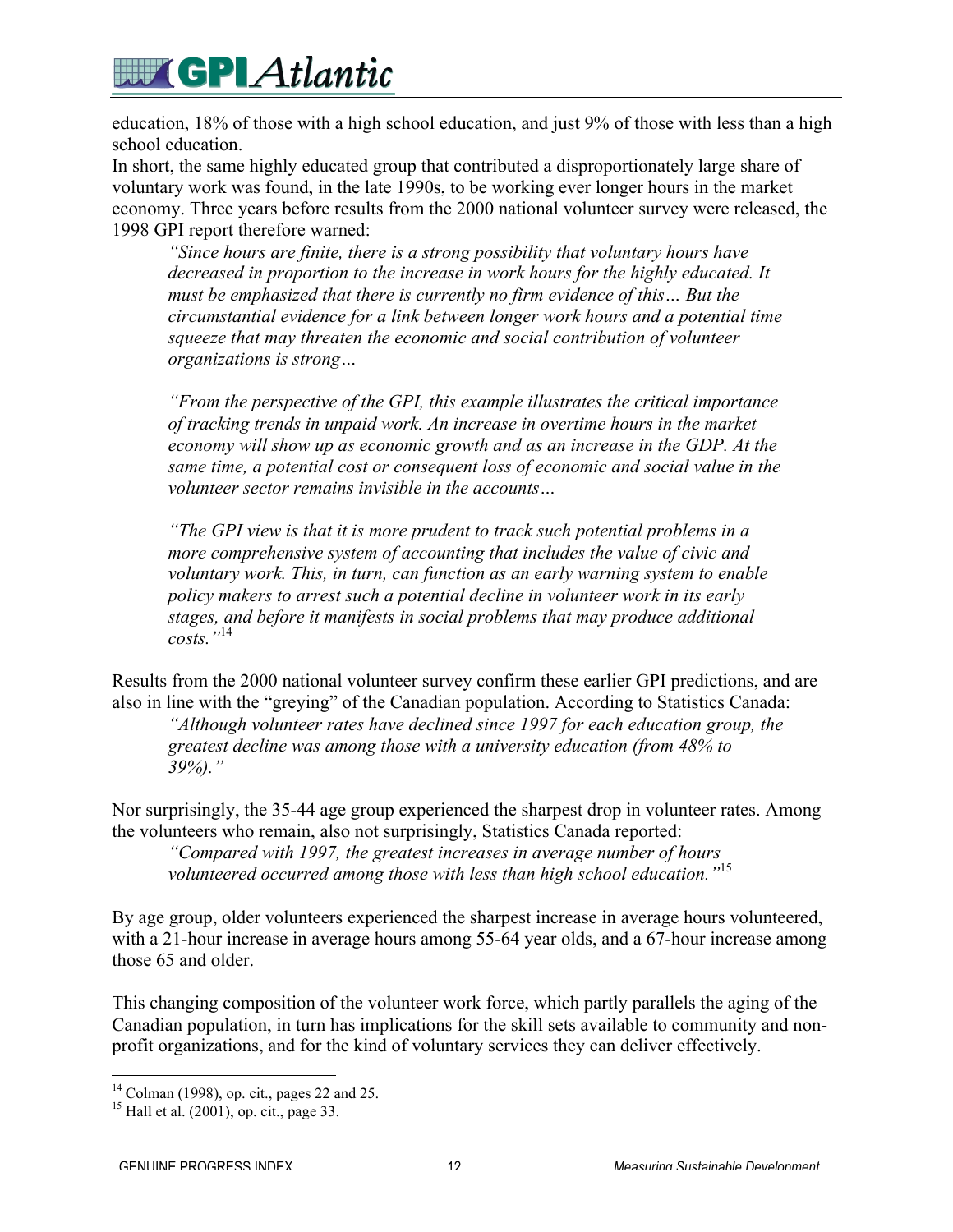## **EV GPI Atlantic**

education, 18% of those with a high school education, and just 9% of those with less than a high school education.

In short, the same highly educated group that contributed a disproportionately large share of voluntary work was found, in the late 1990s, to be working ever longer hours in the market economy. Three years before results from the 2000 national volunteer survey were released, the 1998 GPI report therefore warned:

*"Since hours are finite, there is a strong possibility that voluntary hours have decreased in proportion to the increase in work hours for the highly educated. It must be emphasized that there is currently no firm evidence of this… But the circumstantial evidence for a link between longer work hours and a potential time squeeze that may threaten the economic and social contribution of volunteer organizations is strong…*

*"From the perspective of the GPI, this example illustrates the critical importance of tracking trends in unpaid work. An increase in overtime hours in the market economy will show up as economic growth and as an increase in the GDP. At the same time, a potential cost or consequent loss of economic and social value in the volunteer sector remains invisible in the accounts…*

*"The GPI view is that it is more prudent to track such potential problems in a more comprehensive system of accounting that includes the value of civic and voluntary work. This, in turn, can function as an early warning system to enable policy makers to arrest such a potential decline in volunteer work in its early stages, and before it manifests in social problems that may produce additional costs."*<sup>14</sup>

Results from the 2000 national volunteer survey confirm these earlier GPI predictions, and are also in line with the "greying" of the Canadian population. According to Statistics Canada:

*"Although volunteer rates have declined since 1997 for each education group, the greatest decline was among those with a university education (from 48% to 39%)."*

Nor surprisingly, the 35-44 age group experienced the sharpest drop in volunteer rates. Among the volunteers who remain, also not surprisingly, Statistics Canada reported:

*"Compared with 1997, the greatest increases in average number of hours volunteered occurred among those with less than high school education."*<sup>15</sup>

By age group, older volunteers experienced the sharpest increase in average hours volunteered, with a 21-hour increase in average hours among 55-64 year olds, and a 67-hour increase among those 65 and older.

This changing composition of the volunteer work force, which partly parallels the aging of the Canadian population, in turn has implications for the skill sets available to community and nonprofit organizations, and for the kind of voluntary services they can deliver effectively.

 <sup>14</sup> Colman (1998), op. cit., pages 22 and 25.

<sup>&</sup>lt;sup>15</sup> Hall et al. (2001), op. cit., page 33.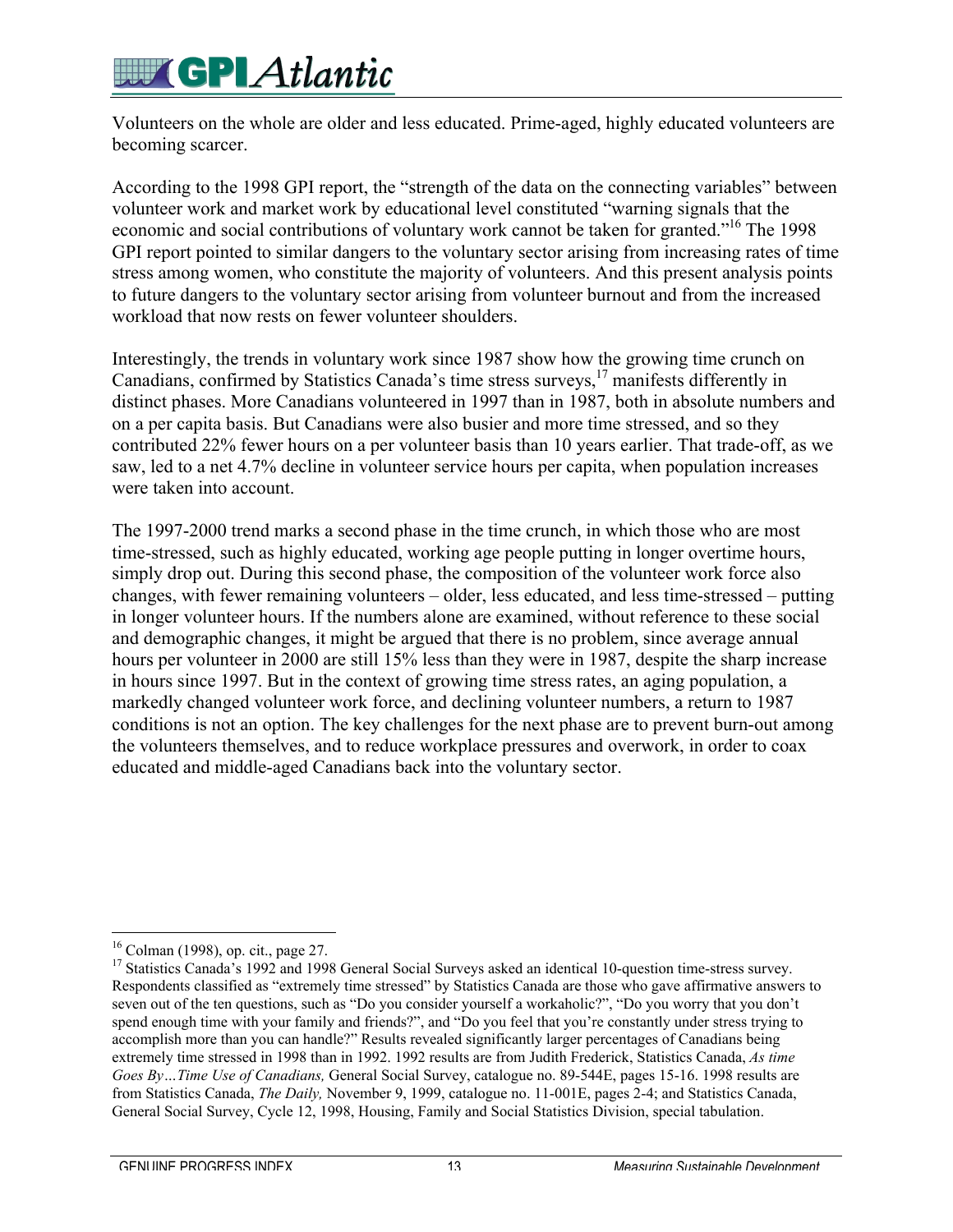# **EX GPI Atlantic**

Volunteers on the whole are older and less educated. Prime-aged, highly educated volunteers are becoming scarcer.

According to the 1998 GPI report, the "strength of the data on the connecting variables" between volunteer work and market work by educational level constituted "warning signals that the economic and social contributions of voluntary work cannot be taken for granted."<sup>16</sup> The 1998 GPI report pointed to similar dangers to the voluntary sector arising from increasing rates of time stress among women, who constitute the majority of volunteers. And this present analysis points to future dangers to the voluntary sector arising from volunteer burnout and from the increased workload that now rests on fewer volunteer shoulders.

Interestingly, the trends in voluntary work since 1987 show how the growing time crunch on Canadians, confirmed by Statistics Canada's time stress surveys,<sup>17</sup> manifests differently in distinct phases. More Canadians volunteered in 1997 than in 1987, both in absolute numbers and on a per capita basis. But Canadians were also busier and more time stressed, and so they contributed 22% fewer hours on a per volunteer basis than 10 years earlier. That trade-off, as we saw, led to a net 4.7% decline in volunteer service hours per capita, when population increases were taken into account.

The 1997-2000 trend marks a second phase in the time crunch, in which those who are most time-stressed, such as highly educated, working age people putting in longer overtime hours, simply drop out. During this second phase, the composition of the volunteer work force also changes, with fewer remaining volunteers – older, less educated, and less time-stressed – putting in longer volunteer hours. If the numbers alone are examined, without reference to these social and demographic changes, it might be argued that there is no problem, since average annual hours per volunteer in 2000 are still 15% less than they were in 1987, despite the sharp increase in hours since 1997. But in the context of growing time stress rates, an aging population, a markedly changed volunteer work force, and declining volunteer numbers, a return to 1987 conditions is not an option. The key challenges for the next phase are to prevent burn-out among the volunteers themselves, and to reduce workplace pressures and overwork, in order to coax educated and middle-aged Canadians back into the voluntary sector.

 <sup>16</sup> Colman (1998), op. cit., page 27.

<sup>&</sup>lt;sup>17</sup> Statistics Canada's 1992 and 1998 General Social Surveys asked an identical 10-question time-stress survey. Respondents classified as "extremely time stressed" by Statistics Canada are those who gave affirmative answers to seven out of the ten questions, such as "Do you consider yourself a workaholic?", "Do you worry that you don't spend enough time with your family and friends?", and "Do you feel that you're constantly under stress trying to accomplish more than you can handle?" Results revealed significantly larger percentages of Canadians being extremely time stressed in 1998 than in 1992. 1992 results are from Judith Frederick, Statistics Canada, *As time Goes By…Time Use of Canadians,* General Social Survey, catalogue no. 89-544E, pages 15-16. 1998 results are from Statistics Canada, *The Daily,* November 9, 1999, catalogue no. 11-001E, pages 2-4; and Statistics Canada, General Social Survey, Cycle 12, 1998, Housing, Family and Social Statistics Division, special tabulation.